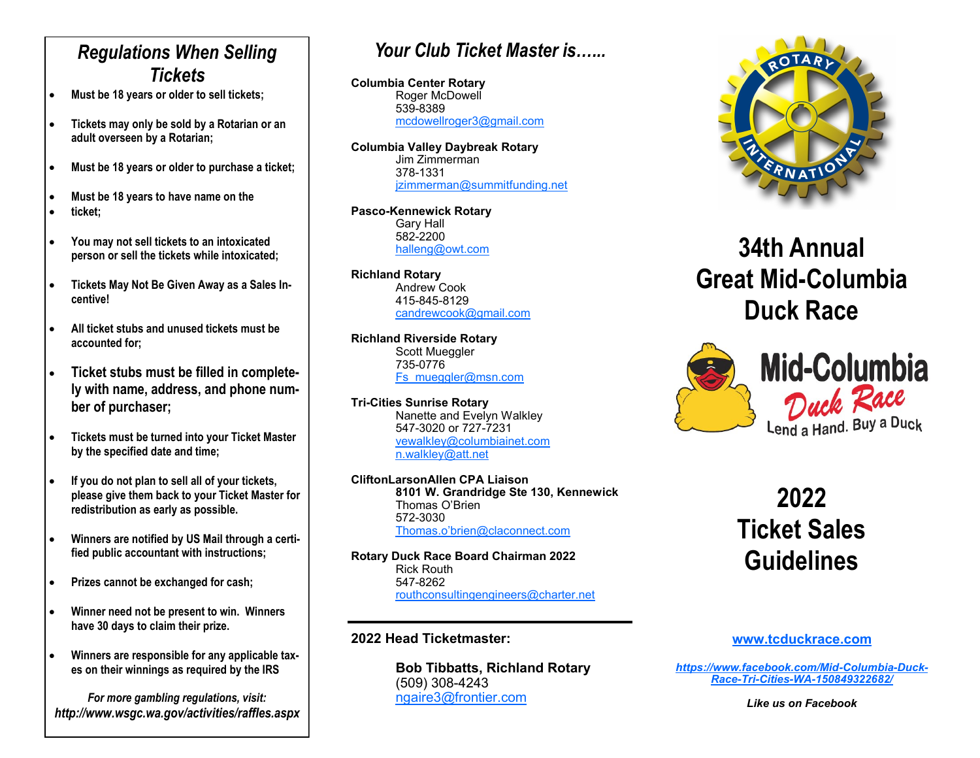## *Regulations When Selling Tickets*

- **Must be 18 years or older to sell tickets;**
- **Tickets may only be sold by a Rotarian or an adult overseen by a Rotarian;**
- **Must be 18 years or older to purchase a ticket;**
- **Must be 18 years to have name on the**
- **ticket;**
- **You may not sell tickets to an intoxicated person or sell the tickets while intoxicated;**
- **Tickets May Not Be Given Away as a Sales Incentive!**
- **All ticket stubs and unused tickets must be accounted for;**
- **Ticket stubs must be filled in completely with name, address, and phone number of purchaser;**
- **Tickets must be turned into your Ticket Master by the specified date and time;**
- **If you do not plan to sell all of your tickets, please give them back to your Ticket Master for redistribution as early as possible.**
- **Winners are notified by US Mail through a certified public accountant with instructions;**
- **Prizes cannot be exchanged for cash;**
- **Winner need not be present to win. Winners have 30 days to claim their prize.**
- **Winners are responsible for any applicable taxes on their winnings as required by the IRS**

*For more gambling regulations, visit: http://www.wsgc.wa.gov/activities/raffles.aspx*

## *Your Club Ticket Master is…...*

**Columbia Center Rotary** Roger McDowell 539-8389 [mcdowellroger3@gmail.com](mailto:mcdowellroger3@gmail.com)

**Columbia Valley Daybreak Rotary** Jim Zimmerman 378-1331 izimmerman@summitfunding.net

**Pasco-Kennewick Rotary** Gary Hall 582-2200 [halleng@owt.com](mailto:halleng@owt.com)

**Richland Rotary** Andrew Cook 415-845-8129 [candrewcook@gmail.com](mailto:candrewcook@gmail.com) 

**Richland Riverside Rotary** Scott Mueggler 735-[0776](mailto:jill@douglasfruit.com) [Fs\\_mueggler@msn.com](mailto:fs_mueggler@msn.com)

**Tri-Cities Sunrise Rotary** Nanette and Evelyn Walkley 547-3020 or 727-7231 [vewalkley@columbiainet.com](mailto:vewalkley@columbiainet.com) [n.walkley@att.net](mailto:n.walkley@att.net)

**CliftonLarsonAllen CPA Liaison 8101 W. Grandridge Ste 130, Kennewick** Thomas O'Brien 572-3030 Thomas.o'[brien@claconnect.com](mailto:thomasobrien@claconnect.com)

**Rotary Duck Race Board Chairman 2022** Rick Routh 547-8262 [routhconsultingengineers@charter.net](mailto:routhconsultingengineers@charter.net)

#### **2022 Head Ticketmaster:**

**Bob Tibbatts, Richland Rotary** (509) 308-4243 [ngaire3@frontier.com](mailto:ngaire3@frontier.com)



# **34th Annual Great Mid-Columbia Duck Race**



# **2022 Ticket Sales Guidelines**

#### **[www.tcduckrace.com](mailto:www.tcduckrace.com)**

*[https://www.facebook.com/Mid](https://www.facebook.com/Mid-Columbia-Duck-Race-Tri-Cities-WA-150849322682/)-Columbia-Duck-Race-Tri-Cities-WA-[150849322682/](https://www.facebook.com/Mid-Columbia-Duck-Race-Tri-Cities-WA-150849322682/)*

*Like us on Facebook*